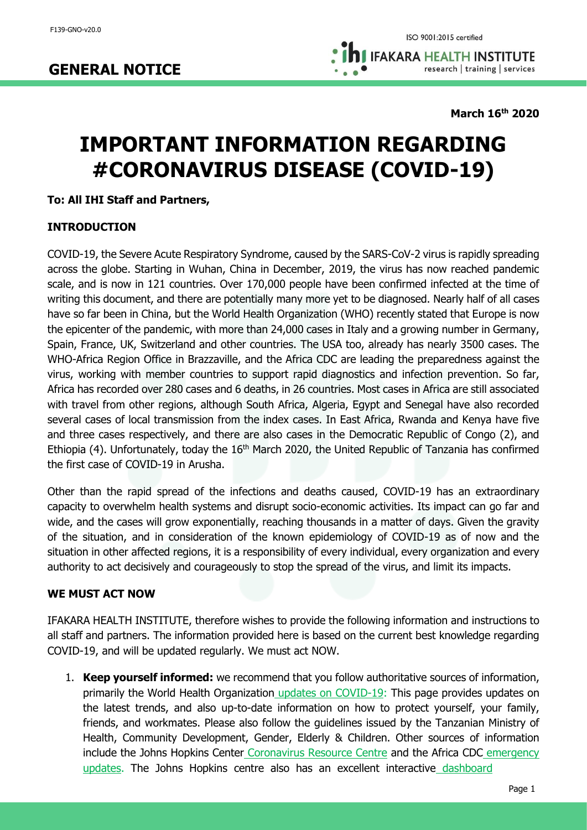**March 16th 2020**

# **IMPORTANT INFORMATION REGARDING #CORONAVIRUS DISEASE (COVID-19)**

## **To: All IHI Staff and Partners,**

## **INTRODUCTION**

COVID-19, the Severe Acute Respiratory Syndrome, caused by the SARS-CoV-2 virus is rapidly spreading across the globe. Starting in Wuhan, China in December, 2019, the virus has now reached pandemic scale, and is now in 121 countries. Over 170,000 people have been confirmed infected at the time of writing this document, and there are potentially many more yet to be diagnosed. Nearly half of all cases have so far been in China, but the World Health Organization (WHO) recently stated that Europe is now the epicenter of the pandemic, with more than 24,000 cases in Italy and a growing number in Germany, Spain, France, UK, Switzerland and other countries. The USA too, already has nearly 3500 cases. The WHO-Africa Region Office in Brazzaville, and the Africa CDC are leading the preparedness against the virus, working with member countries to support rapid diagnostics and infection prevention. So far, Africa has recorded over 280 cases and 6 deaths, in 26 countries. Most cases in Africa are still associated with travel from other regions, although South Africa, Algeria, Egypt and Senegal have also recorded several cases of local transmission from the index cases. In East Africa, Rwanda and Kenya have five and three cases respectively, and there are also cases in the Democratic Republic of Congo (2), and Ethiopia (4). Unfortunately, today the 16<sup>th</sup> March 2020, the United Republic of Tanzania has confirmed the first case of COVID-19 in Arusha.

Other than the rapid spread of the infections and deaths caused, COVID-19 has an extraordinary capacity to overwhelm health systems and disrupt socio-economic activities. Its impact can go far and wide, and the cases will grow exponentially, reaching thousands in a matter of days. Given the gravity of the situation, and in consideration of the known epidemiology of COVID-19 as of now and the situation in other affected regions, it is a responsibility of every individual, every organization and every authority to act decisively and courageously to stop the spread of the virus, and limit its impacts.

#### **WE MUST ACT NOW**

IFAKARA HEALTH INSTITUTE, therefore wishes to provide the following information and instructions to all staff and partners. The information provided here is based on the current best knowledge regarding COVID-19, and will be updated regularly. We must act NOW.

1. **Keep yourself informed:** we recommend that you follow authoritative sources of information, primarily the World Health Orga[n](https://www.who.int/emergencies/diseases/novel-coronavirus-2019)ization [updates on COVID-19:](https://www.who.int/emergencies/diseases/novel-coronavirus-2019) This page provides updates on the latest trends, and also up-to-date information on how to protect yourself, your family, friends, and workmates. Please also follow the guidelines issued by the Tanzanian Ministry of Health, Community Development, Gender, Elderly & Children. Other sources of information include the Johns Hopkins Cente[r](https://coronavirus.jhu.edu/) [Coronavirus Resource Centre](https://coronavirus.jhu.edu/) and the Africa CDC [emergency](http://www.africacdc.org/press-centre/news/129-outbreak-update-on-the-ongoing-novel-coronavirus-global-epidemic-issue-8-10-march-2020)  [updates.](http://www.africacdc.org/press-centre/news/129-outbreak-update-on-the-ongoing-novel-coronavirus-global-epidemic-issue-8-10-march-2020) The Johns Hopkins centre also has an excellent interactiv[e](https://www.arcgis.com/apps/opsdashboard/index.html#/bda7594740fd40299423467b48e9ecf6) [dashboard](https://www.arcgis.com/apps/opsdashboard/index.html#/bda7594740fd40299423467b48e9ecf6)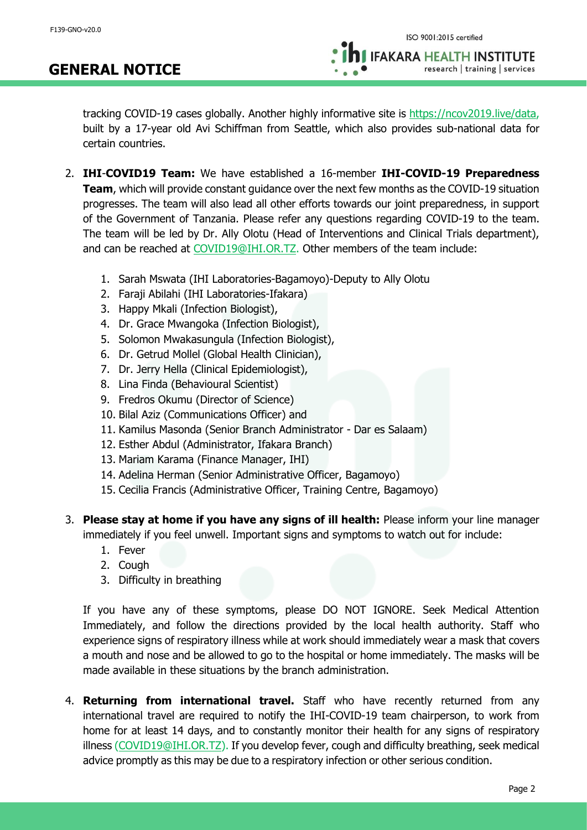## **GENERAL NOTICE**

tracking COVID-19 cases globally. Another highly informative site is [https://ncov2019.live/data,](https://ncov2019.live/data) built by a 17-year old Avi Schiffman from Seattle, which also provides sub-national data for certain countries.

- 2. **IHI**-**COVID19 Team:** We have established a 16-member **IHI-COVID-19 Preparedness Team**, which will provide constant guidance over the next few months as the COVID-19 situation progresses. The team will also lead all other efforts towards our joint preparedness, in support of the Government of Tanzania. Please refer any questions regarding COVID-19 to the team. The team will be led by Dr. Ally Olotu (Head of Interventions and Clinical Trials department), and can be reached at [COVID19@IHI.OR.TZ.](mailto:COVID19@IHI.OR.TZ) Other members of the team include:
	- 1. Sarah Mswata (IHI Laboratories-Bagamoyo)-Deputy to Ally Olotu
	- 2. Faraji Abilahi (IHI Laboratories-Ifakara)
	- 3. Happy Mkali (Infection Biologist),
	- 4. Dr. Grace Mwangoka (Infection Biologist),
	- 5. Solomon Mwakasungula (Infection Biologist),
	- 6. Dr. Getrud Mollel (Global Health Clinician),
	- 7. Dr. Jerry Hella (Clinical Epidemiologist),
	- 8. Lina Finda (Behavioural Scientist)
	- 9. Fredros Okumu (Director of Science)
	- 10. Bilal Aziz (Communications Officer) and
	- 11. Kamilus Masonda (Senior Branch Administrator Dar es Salaam)
	- 12. Esther Abdul (Administrator, Ifakara Branch)
	- 13. Mariam Karama (Finance Manager, IHI)
	- 14. Adelina Herman (Senior Administrative Officer, Bagamoyo)
	- 15. Cecilia Francis (Administrative Officer, Training Centre, Bagamoyo)

3. **Please stay at home if you have any signs of ill health:** Please inform your line manager immediately if you feel unwell. Important signs and symptoms to watch out for include:

- 1. Fever
- 2. Cough
- 3. Difficulty in breathing

If you have any of these symptoms, please DO NOT IGNORE. Seek Medical Attention Immediately, and follow the directions provided by the local health authority. Staff who experience signs of respiratory illness while at work should immediately wear a mask that covers a mouth and nose and be allowed to go to the hospital or home immediately. The masks will be made available in these situations by the branch administration.

4. **Returning from international travel.** Staff who have recently returned from any international travel are required to notify the IHI-COVID-19 team chairperson, to work from home for at least 14 days, and to constantly monitor their health for any signs of respiratory illness [\(COVID19@IHI.OR.TZ\)](mailto:COVID19@IHI.OR.TZ). If you develop fever, cough and difficulty breathing, seek medical advice promptly as this may be due to a respiratory infection or other serious condition.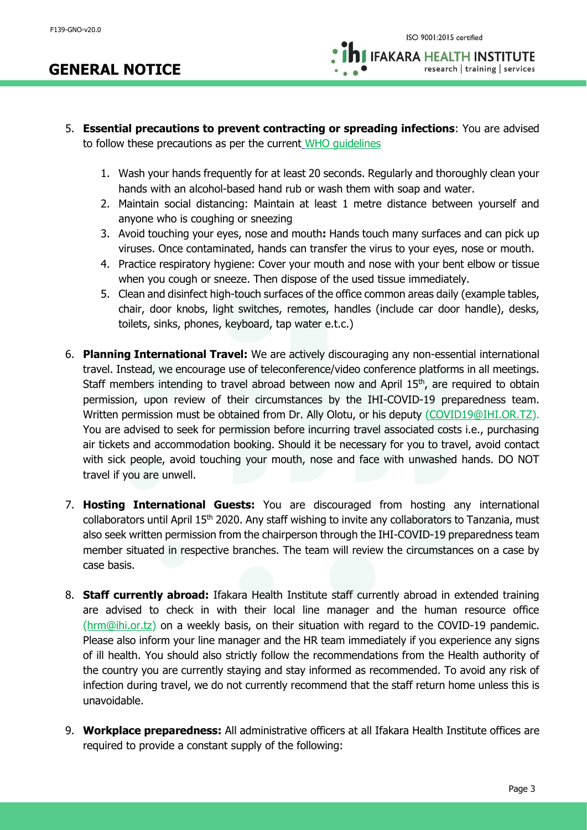- 5. **Essential precautions to prevent contracting or spreading infections**: You are advised to follow these precautions as per the curren[t](https://www.who.int/emergencies/diseases/novel-coronavirus-2019/advice-for-public) [WHO guidelines](https://www.who.int/emergencies/diseases/novel-coronavirus-2019/advice-for-public)
	- 1. Wash your hands frequently for at least 20 seconds. Regularly and thoroughly clean your hands with an alcohol-based hand rub or wash them with soap and water.
	- 2. Maintain social distancing: Maintain at least 1 metre distance between yourself and anyone who is coughing or sneezing
	- 3. Avoid touching your eyes, nose and mouth**:** Hands touch many surfaces and can pick up viruses. Once contaminated, hands can transfer the virus to your eyes, nose or mouth.
	- 4. Practice respiratory hygiene: Cover your mouth and nose with your bent elbow or tissue when you cough or sneeze. Then dispose of the used tissue immediately.
	- 5. Clean and disinfect high-touch surfaces of the office common areas daily (example tables, chair, door knobs, light switches, remotes, handles (include car door handle), desks, toilets, sinks, phones, keyboard, tap water e.t.c.)
- 6. **Planning International Travel:** We are actively discouraging any non-essential international travel. Instead, we encourage use of teleconference/video conference platforms in all meetings. Staff members intending to travel abroad between now and April  $15<sup>th</sup>$ , are required to obtain permission, upon review of their circumstances by the IHI-COVID-19 preparedness team. Written permission must be obtained from Dr. Ally Olotu, or his deputy [\(COVID19@IHI.OR.TZ\)](mailto:COVID19@IHI.OR.TZ). You are advised to seek for permission before incurring travel associated costs i.e., purchasing air tickets and accommodation booking. Should it be necessary for you to travel, avoid contact with sick people, avoid touching your mouth, nose and face with unwashed hands. DO NOT travel if you are unwell.
- 7. **Hosting International Guests:** You are discouraged from hosting any international collaborators until April 15<sup>th</sup> 2020. Any staff wishing to invite any collaborators to Tanzania, must also seek written permission from the chairperson through the IHI-COVID-19 preparedness team member situated in respective branches. The team will review the circumstances on a case by case basis.
- 8. **Staff currently abroad:** Ifakara Health Institute staff currently abroad in extended training are advised to check in with their local line manager and the human resource office [\(hrm@ihi.or.tz\)](mailto:hrm@ihi.or.tz) on a weekly basis, on their situation with regard to the COVID-19 pandemic. Please also inform your line manager and the HR team immediately if you experience any signs of ill health. You should also strictly follow the recommendations from the Health authority of the country you are currently staying and stay informed as recommended. To avoid any risk of infection during travel, we do not currently recommend that the staff return home unless this is unavoidable.
- 9. **Workplace preparedness:** All administrative officers at all Ifakara Health Institute offices are required to provide a constant supply of the following: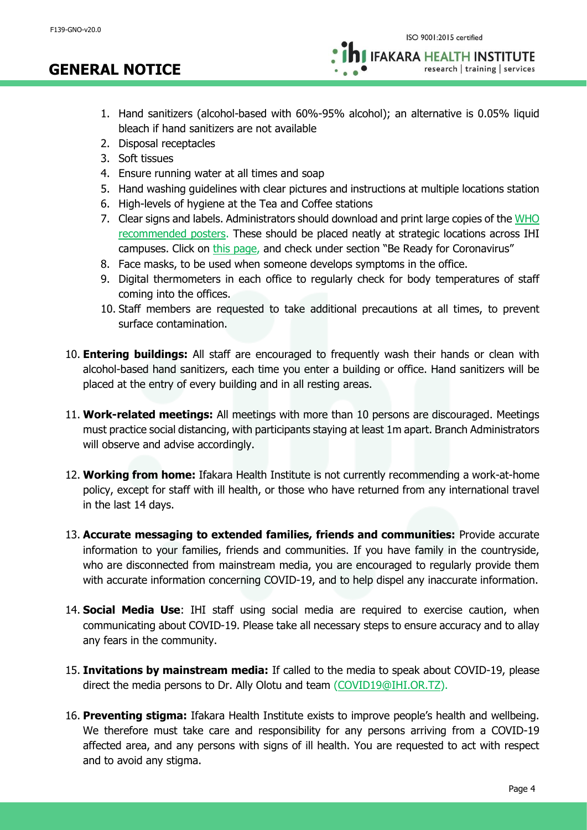research | training | services

1. Hand sanitizers (alcohol-based with 60%-95% alcohol); an alternative is 0.05% liquid bleach if hand sanitizers are not available

- 2. Disposal receptacles
- 3. Soft tissues
- 4. Ensure running water at all times and soap
- 5. Hand washing guidelines with clear pictures and instructions at multiple locations station
- 6. High-levels of hygiene at the Tea and Coffee stations
- 7. Clear signs and labels. Administrators should download and print large copies of the [WHO](https://www.who.int/emergencies/diseases/novel-coronavirus-2019/advice-for-public)  [recommended posters.](https://www.who.int/emergencies/diseases/novel-coronavirus-2019/advice-for-public) These should be placed neatly at strategic locations across IHI campuses. Click on [this page,](https://www.who.int/emergencies/diseases/novel-coronavirus-2019/advice-for-public) and check under section "Be Ready for Coronavirus"
- 8. Face masks, to be used when someone develops symptoms in the office.
- 9. Digital thermometers in each office to regularly check for body temperatures of staff coming into the offices.
- 10. Staff members are requested to take additional precautions at all times, to prevent surface contamination.
- 10. **Entering buildings:** All staff are encouraged to frequently wash their hands or clean with alcohol-based hand sanitizers, each time you enter a building or office. Hand sanitizers will be placed at the entry of every building and in all resting areas.
- 11. **Work-related meetings:** All meetings with more than 10 persons are discouraged. Meetings must practice social distancing, with participants staying at least 1m apart. Branch Administrators will observe and advise accordingly.
- 12. **Working from home:** Ifakara Health Institute is not currently recommending a work-at-home policy, except for staff with ill health, or those who have returned from any international travel in the last 14 days.
- 13. **Accurate messaging to extended families, friends and communities:** Provide accurate information to your families, friends and communities. If you have family in the countryside, who are disconnected from mainstream media, you are encouraged to regularly provide them with accurate information concerning COVID-19, and to help dispel any inaccurate information.
- 14. **Social Media Use**: IHI staff using social media are required to exercise caution, when communicating about COVID-19. Please take all necessary steps to ensure accuracy and to allay any fears in the community.
- 15. **Invitations by mainstream media:** If called to the media to speak about COVID-19, please direct the media persons to Dr. Ally Olotu and team [\(COVID19@IHI.OR.TZ\)](mailto:COVID19@IHI.OR.TZ).
- 16. **Preventing stigma:** Ifakara Health Institute exists to improve people's health and wellbeing. We therefore must take care and responsibility for any persons arriving from a COVID-19 affected area, and any persons with signs of ill health. You are requested to act with respect and to avoid any stigma.